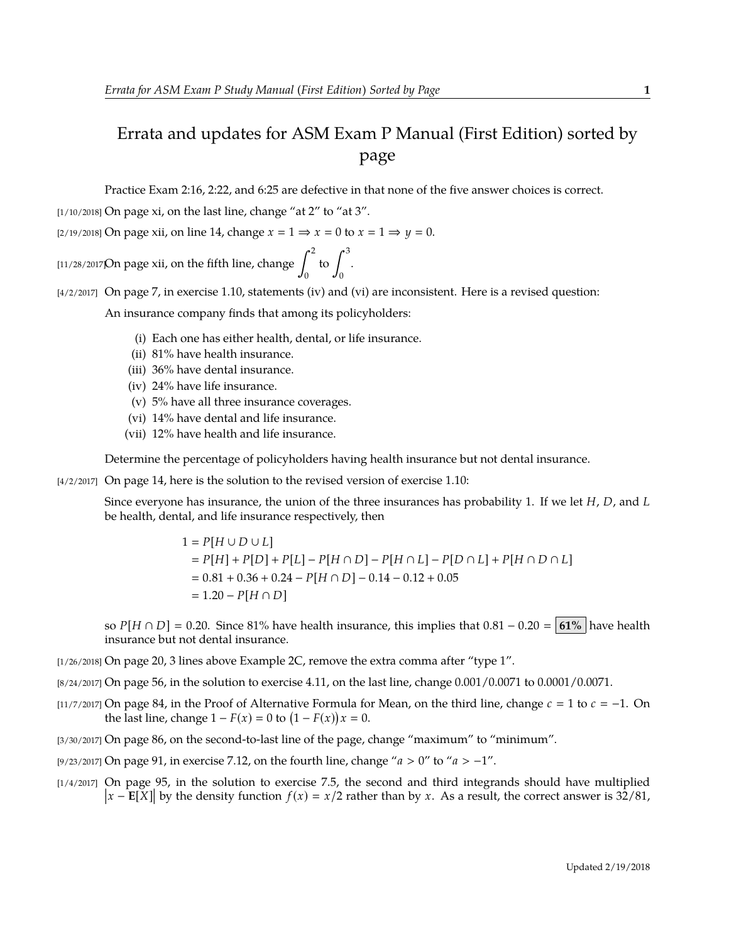## Errata and updates for ASM Exam P Manual (First Edition) sorted by page

Practice Exam 2:16, 2:22, and 6:25 are defective in that none of the five answer choices is correct.

 $[1/10/2018]$  On page xi, on the last line, change "at 2" to "at 3".

[2/19/2018] On page xii, on line 14, change  $x = 1 \Rightarrow x = 0$  to  $x = 1 \Rightarrow y = 0$ .

[11/28/2017]On page xii, on the fifth line, change  $\int^2$  $\boldsymbol{0}$ to  $\int^3$  $\boldsymbol{0}$ .

[4/2/2017] On page 7, in exercise 1.10, statements (iv) and (vi) are inconsistent. Here is a revised question:

An insurance company finds that among its policyholders:

- (i) Each one has either health, dental, or life insurance.
- (ii) 81% have health insurance.
- (iii) 36% have dental insurance.
- (iv) 24% have life insurance.
- (v) 5% have all three insurance coverages.
- (vi) 14% have dental and life insurance.
- (vii) 12% have health and life insurance.

Determine the percentage of policyholders having health insurance but not dental insurance.

[4/2/2017] On page 14, here is the solution to the revised version of exercise 1.10:

Since everyone has insurance, the union of the three insurances has probability 1. If we let *H*, *D*, and *L* be health, dental, and life insurance respectively, then

> $1 = P[H \cup D \cup L]$  *P*[*H*] + *P*[*D*] + *P*[*L*] − *P*[*H* ∩ *D*] − *P*[*H* ∩ *L*] − *P*[*D* ∩ *L*] + *P*[*H* ∩ *D* ∩ *L*]  $= 0.81 + 0.36 + 0.24 - P[H \cap D] - 0.14 - 0.12 + 0.05$  $= 1.20 - P[H \cap D]$

so  $P[H \cap D] = 0.20$ . Since 81% have health insurance, this implies that  $0.81 - 0.20 = 61\%$  have health insurance but not dental insurance.

- [1/26/2018] On page 20, 3 lines above Example 2C, remove the extra comma after "type 1".
- [8/24/2017] On page 56, in the solution to exercise 4.11, on the last line, change 0.001/0.0071 to 0.0001/0.0071.
- [11/7/2017] On page 84, in the Proof of Alternative Formula for Mean, on the third line, change  $c = 1$  to  $c = -1$ . On the last line, change  $1 - F(x) = 0$  to  $(1 - F(x))x = 0$ .
- [3/30/2017] On page 86, on the second-to-last line of the page, change "maximum" to "minimum".
- [9/23/2017] On page 91, in exercise 7.12, on the fourth line, change "*a* > 0" to "*a* > −1".
- [1/4/2017] On page 95, in the solution to exercise 7.5, the second and third integrands should have multiplied  $|x E[X]|$  by the density function  $f(x) = x/2$  rather than by x. As a result, the correct answer is 32/81,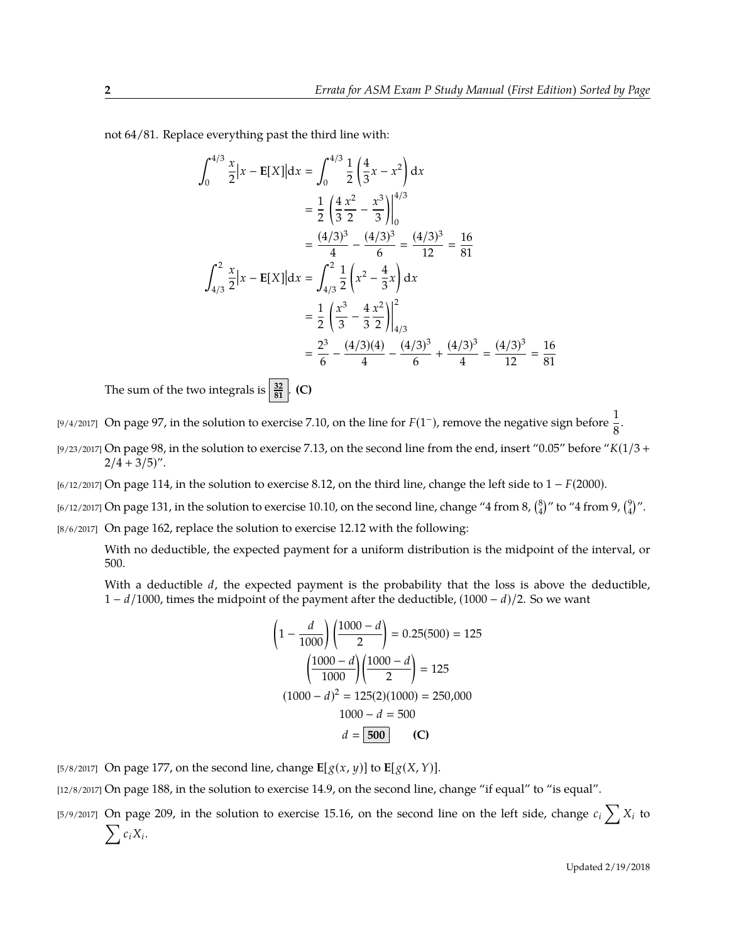not 64/81. Replace everything past the third line with:

$$
\int_{0}^{4/3} \frac{x}{2} |x - \mathbf{E}[X]| dx = \int_{0}^{4/3} \frac{1}{2} \left(\frac{4}{3}x - x^{2}\right) dx
$$
  
\n
$$
= \frac{1}{2} \left(\frac{4}{3} \frac{x^{2}}{2} - \frac{x^{3}}{3}\right)\Big|_{0}^{4/3}
$$
  
\n
$$
= \frac{(4/3)^{3}}{4} - \frac{(4/3)^{3}}{6} = \frac{(4/3)^{3}}{12} = \frac{16}{81}
$$
  
\n
$$
\int_{4/3}^{2} \frac{x}{2} |x - \mathbf{E}[X]| dx = \int_{4/3}^{2} \frac{1}{2} \left(x^{2} - \frac{4}{3}x\right) dx
$$
  
\n
$$
= \frac{1}{2} \left(\frac{x^{3}}{3} - \frac{4}{3} \frac{x^{2}}{2}\right)\Big|_{4/3}^{2}
$$
  
\n
$$
= \frac{2^{3}}{6} - \frac{(4/3)(4)}{4} - \frac{(4/3)^{3}}{6} + \frac{(4/3)^{3}}{4} = \frac{(4/3)^{3}}{12} = \frac{16}{81}
$$

The sum of the two integrals is  $\frac{32}{81}$ . **(C)** 

[9/4/2017] On page 97, in the solution to exercise 7.10, on the line for  $F(1^-)$ , remove the negative sign before  $\frac{1}{8}$ .

- [9/23/2017] On page 98, in the solution to exercise 7.13, on the second line from the end, insert "0.05" before "*K*(1/3 +  $2/4 + 3/5$ ".
- [6/12/2017] On page 114, in the solution to exercise 8.12, on the third line, change the left side to 1 − *F*(2000).
- [6/12/2017] On page 131, in the solution to exercise 10.10, on the second line, change "4 from 8,  $\binom{8}{4}$ " to "4 from 9,  $\binom{9}{4}$ ".
- [8/6/2017] On page 162, replace the solution to exercise 12.12 with the following:

With no deductible, the expected payment for a uniform distribution is the midpoint of the interval, or 500.

With a deductible *d*, the expected payment is the probability that the loss is above the deductible, 1 − *d*/1000, times the midpoint of the payment after the deductible, (1000 − *d*)/2. So we want

$$
\left(1 - \frac{d}{1000}\right)\left(\frac{1000 - d}{2}\right) = 0.25(500) = 125
$$

$$
\left(\frac{1000 - d}{1000}\right)\left(\frac{1000 - d}{2}\right) = 125
$$

$$
(1000 - d)^2 = 125(2)(1000) = 250,000
$$

$$
1000 - d = 500
$$

$$
d = 500
$$
 (C)

[5/8/2017] On page 177, on the second line, change  $\mathbf{E}[g(x, y)]$  to  $\mathbf{E}[g(X, Y)]$ .

[12/8/2017] On page 188, in the solution to exercise 14.9, on the second line, change "if equal" to "is equal".

[5/9/2017] On page 209, in the solution to exercise 15.16, on the second line on the left side, change  $c_i \sum_i X_i$  to  $\sum c_i X_i$ .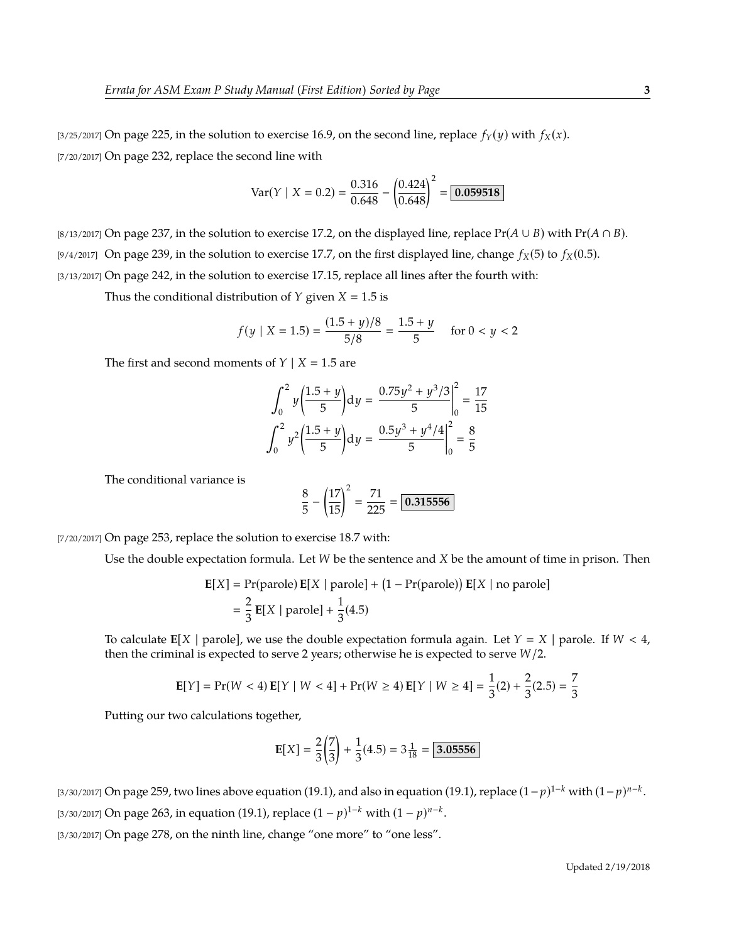$$
\text{Var}(Y \mid X = 0.2) = \frac{0.316}{0.648} - \left(\frac{0.424}{0.648}\right)^2 = \boxed{0.059518}
$$

[8/13/2017] On page 237, in the solution to exercise 17.2, on the displayed line, replace  $Pr(A \cup B)$  with  $Pr(A \cap B)$ . [9/4/2017] On page 239, in the solution to exercise 17.7, on the first displayed line, change  $f_X(5)$  to  $f_X(0.5)$ . [3/13/2017] On page 242, in the solution to exercise 17.15, replace all lines after the fourth with:

Thus the conditional distribution of *Y* given  $X = 1.5$  is

$$
f(y \mid X = 1.5) = \frac{(1.5 + y)/8}{5/8} = \frac{1.5 + y}{5} \quad \text{for } 0 < y < 2
$$

The first and second moments of  $Y \mid X = 1.5$  are

$$
\int_0^2 y \left(\frac{1.5 + y}{5}\right) dy = \frac{0.75y^2 + y^3/3}{5} \bigg|_0^2 = \frac{17}{15}
$$

$$
\int_0^2 y^2 \left(\frac{1.5 + y}{5}\right) dy = \frac{0.5y^3 + y^4/4}{5} \bigg|_0^2 = \frac{8}{5}
$$

The conditional variance is

$$
\frac{8}{5} - \left(\frac{17}{15}\right)^2 = \frac{71}{225} = \boxed{0.315556}
$$

[7/20/2017] On page 253, replace the solution to exercise 18.7 with:

Use the double expectation formula. Let *W* be the sentence and *X* be the amount of time in prison. Then

$$
\mathbf{E}[X] = \text{Pr}(\text{parole}) \mathbf{E}[X \mid \text{parole}] + (1 - \text{Pr}(\text{parole})) \mathbf{E}[X \mid \text{no parole}]
$$

$$
= \frac{2}{3} \mathbf{E}[X \mid \text{parole}] + \frac{1}{3}(4.5)
$$

To calculate  $E[X | \text{parole}]$ , we use the double expectation formula again. Let  $Y = X | \text{parole}$ . If  $W < 4$ , then the criminal is expected to serve 2 years; otherwise he is expected to serve *W*/2.

$$
\mathbf{E}[Y] = \Pr(W < 4) \mathbf{E}[Y \mid W < 4] + \Pr(W \ge 4) \mathbf{E}[Y \mid W \ge 4] = \frac{1}{3}(2) + \frac{2}{3}(2.5) = \frac{7}{3}
$$

Putting our two calculations together,

$$
E[X] = \frac{2}{3} \left( \frac{7}{3} \right) + \frac{1}{3} (4.5) = 3 \frac{1}{18} = \boxed{3.05556}
$$

[3/30/2017] On page 259, two lines above equation (19.1), and also in equation (19.1), replace (1−*p*) <sup>1</sup>−*<sup>k</sup>* with (1−*p*) *n*−*k* .  $\frac{13}{30/2017}$  On page 263, in equation (19.1), replace  $(1-p)^{1-k}$  with  $(1-p)^{n-k}$ .

[3/30/2017] On page 278, on the ninth line, change "one more" to "one less".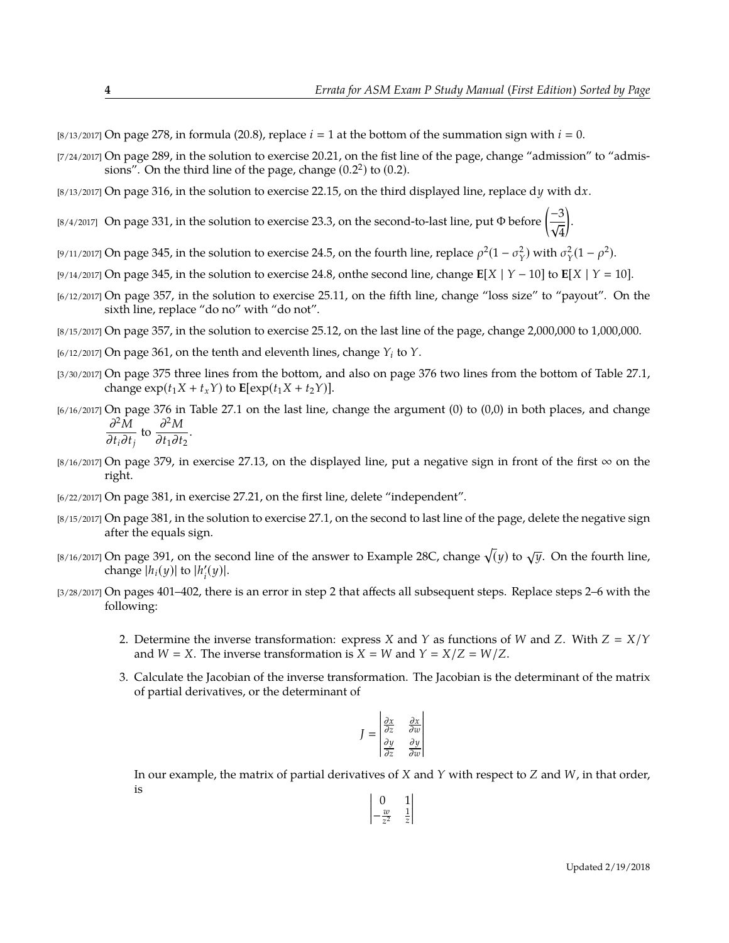[8/13/2017] On page 278, in formula (20.8), replace  $i = 1$  at the bottom of the summation sign with  $i = 0$ .

- [7/24/2017] On page 289, in the solution to exercise 20.21, on the fist line of the page, change "admission" to "admissions". On the third line of the page, change  $(0.2^2)$  to  $(0.2)$ .
- [8/13/2017] On page 316, in the solution to exercise 22.15, on the third displayed line, replace d*y* with d*x*.
- [8/4/2017] On page 331, in the solution to exercise 23.3, on the second-to-last line, put Φ before  $\left(\frac{-3}{\epsilon_0}\right)$ 4 .
- <sup>[9/11/2017] On page 345, in the solution to exercise 24.5, on the fourth line, replace  $\rho^2(1-\sigma_Y^2)$  with  $\sigma_Y^2(1-\rho^2)$ .</sup>
- [9/14/2017] On page 345, in the solution to exercise 24.8, onthe second line, change **E**[*X* | *Y* − 10] to **E**[*X* | *Y* 10].
- [6/12/2017] On page 357, in the solution to exercise 25.11, on the fifth line, change "loss size" to "payout". On the sixth line, replace "do no" with "do not".
- [8/15/2017] On page 357, in the solution to exercise 25.12, on the last line of the page, change 2,000,000 to 1,000,000.
- [6/12/2017] On page 361, on the tenth and eleventh lines, change *Y<sup>i</sup>* to *Y*.
- [3/30/2017] On page 375 three lines from the bottom, and also on page 376 two lines from the bottom of Table 27.1, change  $\exp(t_1 X + t_x Y)$  to  $\mathbf{E}[\exp(t_1 X + t_2 Y)].$
- [6/16/2017] On page 376 in Table 27.1 on the last line, change the argument (0) to (0,0) in both places, and change ∂ <sup>2</sup>*M*  $\frac{\partial^2 M}{\partial t_i \partial t_j}$  to  $\frac{\partial^2 M}{\partial t_1 \partial t}$ 
	- $\frac{\partial}{\partial t_1 \partial t_2}$ .
- $[8/16/2017]$  On page 379, in exercise 27.13, on the displayed line, put a negative sign in front of the first  $\infty$  on the right.
- [6/22/2017] On page 381, in exercise 27.21, on the first line, delete "independent".
- [8/15/2017] On page 381, in the solution to exercise 27.1, on the second to last line of the page, delete the negative sign after the equals sign.
- $_{[8/16/2017]}$  On page 391, on the second line of the answer to Example 28C, change  $\sqrt(y)$  to  $\sqrt{y}$ . On the fourth line, change  $|h_i(y)|$  to  $|h'_i$  $\prime_i'(y)$ .
- [3/28/2017] On pages 401–402, there is an error in step 2 that affects all subsequent steps. Replace steps 2–6 with the following:
	- 2. Determine the inverse transformation: express *X* and *Y* as functions of *W* and *Z*. With  $Z = X/Y$ and  $W = X$ . The inverse transformation is  $X = W$  and  $Y = X/Z = W/Z$ .
	- 3. Calculate the Jacobian of the inverse transformation. The Jacobian is the determinant of the matrix of partial derivatives, or the determinant of

$$
J = \begin{vmatrix} \frac{\partial x}{\partial z} & \frac{\partial x}{\partial w} \\ \frac{\partial y}{\partial z} & \frac{\partial y}{\partial w} \end{vmatrix}
$$

 $\overline{\phantom{a}}$ l I I I  $\overline{\phantom{a}}$ 

In our example, the matrix of partial derivatives of *X* and *Y* with respect to *Z* and *W*, in that order, is

$$
\begin{vmatrix} 0 & 1 \\ -\frac{w}{z^2} & \frac{1}{z} \end{vmatrix}
$$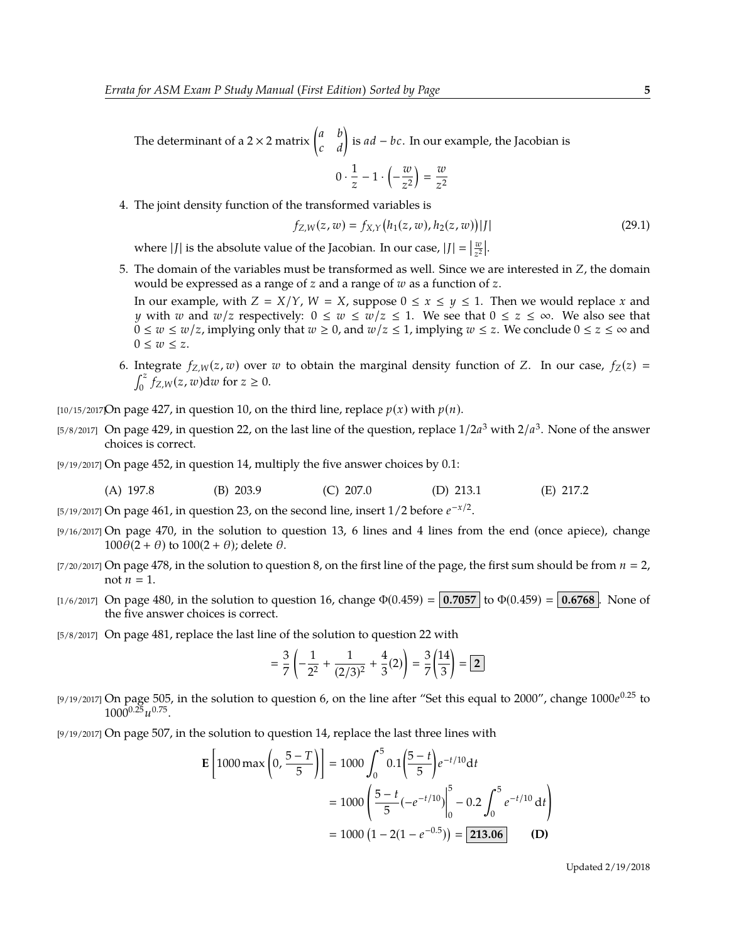The determinant of a 2 × 2 matrix  $\begin{pmatrix} a & b \\ c & d \end{pmatrix}$  is  $ad - bc$ . In our example, the Jacobian is  $0 \cdot \frac{1}{z}$  $\frac{1}{z}$  – 1 ·  $\left(-\frac{w}{z^2}\right)$  $=$   $\frac{w}{2}$ 

4. The joint density function of the transformed variables is

$$
f_{Z,W}(z, w) = f_{X,Y}(h_1(z, w), h_2(z, w))|J|
$$
\n(29.1)

where  $|J|$  is the absolute value of the Jacobian. In our case,  $|J| = \left|\frac{w}{z^2}\right|$ .

5. The domain of the variables must be transformed as well. Since we are interested in *Z*, the domain would be expressed as a range of *z* and a range of *w* as a function of *z*.

*z* 2

*z* 2

In our example, with  $Z = X/Y$ ,  $W = X$ , suppose  $0 \le x \le y \le 1$ . Then we would replace *x* and *y* with *w* and *w*/*z* respectively:  $0 \le w \le w/z \le 1$ . We see that  $0 \le z \le \infty$ . We also see that 0 ≤ *w* ≤ *w*/*z*, implying only that *w* ≥ 0, and *w*/*z* ≤ 1, implying *w* ≤ *z*. We conclude 0 ≤ *z* ≤ ∞ and  $0 \leq w \leq z$ .

6. Integrate  $f_{Z,W}(z, w)$  over *w* to obtain the marginal density function of *Z*. In our case,  $f_Z(z)$  =  $\int_0^z \int_{Z,W}^z(z,w)dw$  for  $z \ge 0$ .

 $[10/15/2017]$ On page 427, in question 10, on the third line, replace  $p(x)$  with  $p(n)$ .

- [5/8/2017] On page 429, in question 22, on the last line of the question, replace  $1/2a^3$  with  $2/a^3$ . None of the answer choices is correct.
- [9/19/2017] On page 452, in question 14, multiply the five answer choices by 0.1:

(A) 197.8 (B) 203.9 (C) 207.0 (D) 213.1 (E) 217.2

[5/19/2017] On page 461, in question 23, on the second line, insert 1/2 before  $e^{-x/2}$ .

- [9/16/2017] On page 470, in the solution to question 13, 6 lines and 4 lines from the end (once apiece), change  $100\theta(2 + \theta)$  to  $100(2 + \theta)$ ; delete  $\theta$ .
- $[7/20/2017]$  On page 478, in the solution to question 8, on the first line of the page, the first sum should be from  $n = 2$ , not  $n = 1$ .
- [1/6/2017] On page 480, in the solution to question 16, change  $\Phi(0.459) = 0.7057$  to  $\Phi(0.459) = 0.6768$ . None of the five answer choices is correct.
- [5/8/2017] On page 481, replace the last line of the solution to question 22 with

$$
= \frac{3}{7} \left( -\frac{1}{2^2} + \frac{1}{(2/3)^2} + \frac{4}{3}(2) \right) = \frac{3}{7} \left( \frac{14}{3} \right) = \boxed{2}
$$

- [9/19/2017] On page 505, in the solution to question 6, on the line after "Set this equal to 2000", change 1000*e* <sup>0</sup>.<sup>25</sup> to  $1000^{0.25}u^{0.75}$ .
- [9/19/2017] On page 507, in the solution to question 14, replace the last three lines with

$$
\mathbf{E}\left[1000 \max\left(0, \frac{5-T}{5}\right)\right] = 1000 \int_0^5 0.1 \left(\frac{5-t}{5}\right) e^{-t/10} dt
$$

$$
= 1000 \left(\frac{5-t}{5} \left(-e^{-t/10}\right)\Big|_0^5 - 0.2 \int_0^5 e^{-t/10} dt\right)
$$

$$
= 1000 \left(1 - 2(1 - e^{-0.5})\right) = 213.06 \tag{D}
$$

Updated 2/19/2018